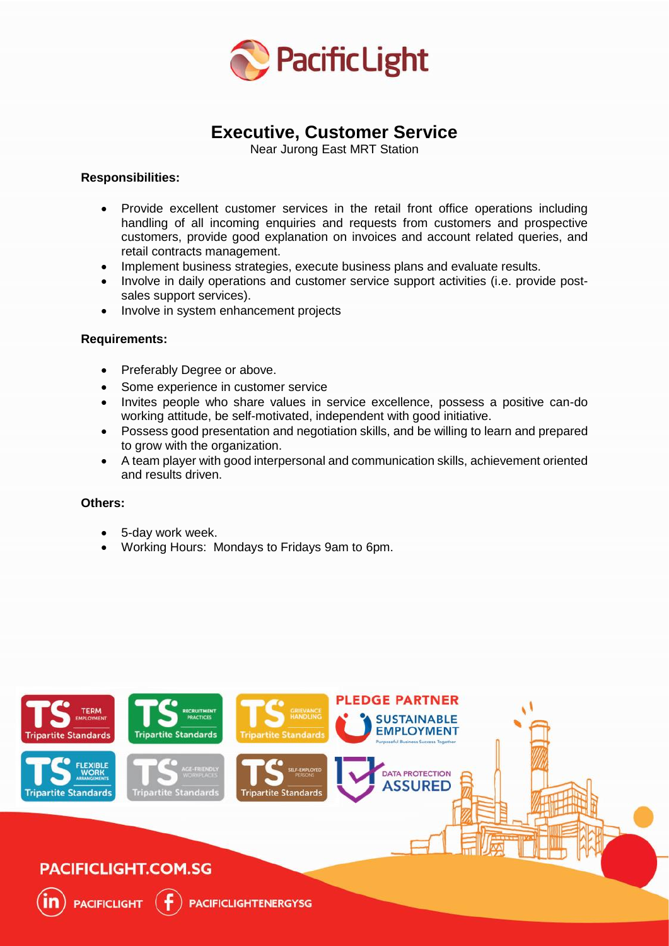

# **Executive, Customer Service**

Near Jurong East MRT Station

## **Responsibilities:**

- Provide excellent customer services in the retail front office operations including handling of all incoming enquiries and requests from customers and prospective customers, provide good explanation on invoices and account related queries, and retail contracts management.
- Implement business strategies, execute business plans and evaluate results.
- Involve in daily operations and customer service support activities (i.e. provide postsales support services).
- Involve in system enhancement projects

## **Requirements:**

- Preferably Degree or above.
- Some experience in customer service
- Invites people who share values in service excellence, possess a positive can-do working attitude, be self-motivated, independent with good initiative.
- Possess good presentation and negotiation skills, and be willing to learn and prepared to grow with the organization.
- A team player with good interpersonal and communication skills, achievement oriented and results driven.

#### **Others:**

- 5-day work week.
- Working Hours: Mondays to Fridays 9am to 6pm.